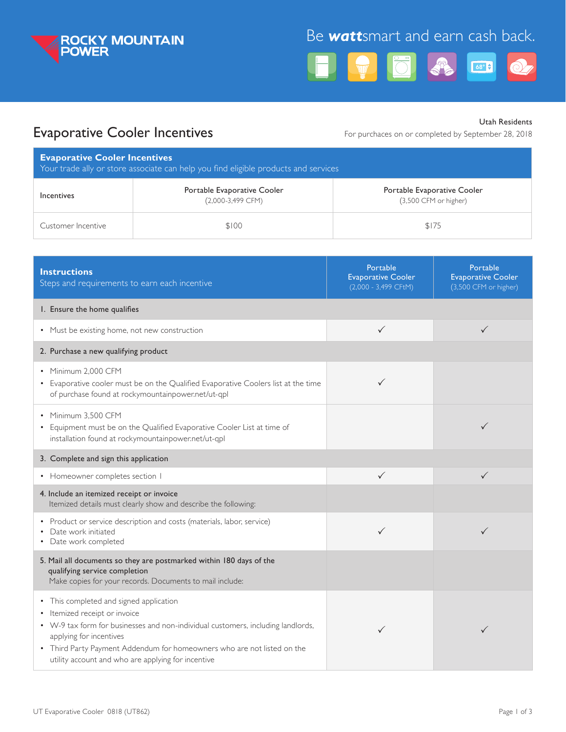

# Be *watt*smart and earn cash back.



## Evaporative Cooler Incentives

Utah Residents

For purchaces on or completed by September 28, 2018

| <b>Evaporative Cooler Incentives</b><br>Your trade ally or store associate can help you find eligible products and services |                                                    |                                                      |  |  |
|-----------------------------------------------------------------------------------------------------------------------------|----------------------------------------------------|------------------------------------------------------|--|--|
| Incentives                                                                                                                  | Portable Evaporative Cooler<br>$(2,000-3,499$ CFM) | Portable Evaporative Cooler<br>(3,500 CFM or higher) |  |  |
| Customer Incentive                                                                                                          | \$100                                              | \$175                                                |  |  |

| <b>Instructions</b><br>Steps and requirements to earn each incentive                                                                                                                                                                                                                                                     | Portable<br><b>Evaporative Cooler</b><br>(2,000 - 3,499 CFtM) | Portable<br><b>Evaporative Cooler</b><br>(3,500 CFM or higher) |
|--------------------------------------------------------------------------------------------------------------------------------------------------------------------------------------------------------------------------------------------------------------------------------------------------------------------------|---------------------------------------------------------------|----------------------------------------------------------------|
| I. Ensure the home qualifies                                                                                                                                                                                                                                                                                             |                                                               |                                                                |
| • Must be existing home, not new construction                                                                                                                                                                                                                                                                            | $\checkmark$                                                  | $\checkmark$                                                   |
| 2. Purchase a new qualifying product                                                                                                                                                                                                                                                                                     |                                                               |                                                                |
| • Minimum 2.000 CFM<br>• Evaporative cooler must be on the Qualified Evaporative Coolers list at the time<br>of purchase found at rockymountainpower.net/ut-qpl                                                                                                                                                          | ✓                                                             |                                                                |
| • Minimum 3,500 CFM<br>• Equipment must be on the Qualified Evaporative Cooler List at time of<br>installation found at rockymountainpower.net/ut-qpl                                                                                                                                                                    |                                                               | $\checkmark$                                                   |
| 3. Complete and sign this application                                                                                                                                                                                                                                                                                    |                                                               |                                                                |
| • Homeowner completes section I                                                                                                                                                                                                                                                                                          | ✓                                                             | $\checkmark$                                                   |
| 4. Include an itemized receipt or invoice<br>Itemized details must clearly show and describe the following:                                                                                                                                                                                                              |                                                               |                                                                |
| • Product or service description and costs (materials, labor, service)<br>Date work initiated<br>Date work completed                                                                                                                                                                                                     | ✓                                                             | ✓                                                              |
| 5. Mail all documents so they are postmarked within 180 days of the<br>qualifying service completion<br>Make copies for your records. Documents to mail include:                                                                                                                                                         |                                                               |                                                                |
| • This completed and signed application<br>• Itemized receipt or invoice<br>• W-9 tax form for businesses and non-individual customers, including landlords,<br>applying for incentives<br>• Third Party Payment Addendum for homeowners who are not listed on the<br>utility account and who are applying for incentive | ✓                                                             | ✓                                                              |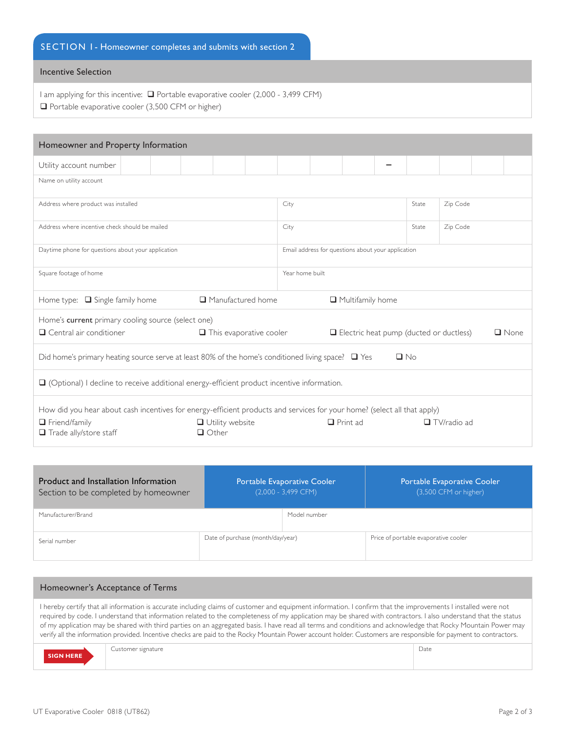## SECTION 1 - Homeowner completes and submits with section 2

## Incentive Selection

I am applying for this incentive:  $\Box$  Portable evaporative cooler (2,000 - 3,499 CFM)  $\Box$  Portable evaporative cooler (3,500 CFM or higher)

| Homeowner and Property Information                                                                                       |  |  |                                                        |  |  |       |          |  |  |  |
|--------------------------------------------------------------------------------------------------------------------------|--|--|--------------------------------------------------------|--|--|-------|----------|--|--|--|
| Utility account number                                                                                                   |  |  |                                                        |  |  |       |          |  |  |  |
| Name on utility account                                                                                                  |  |  |                                                        |  |  |       |          |  |  |  |
| Address where product was installed                                                                                      |  |  | City                                                   |  |  | State | Zip Code |  |  |  |
| Address where incentive check should be mailed                                                                           |  |  | City                                                   |  |  | State | Zip Code |  |  |  |
| Daytime phone for questions about your application                                                                       |  |  | Email address for questions about your application     |  |  |       |          |  |  |  |
| Square footage of home                                                                                                   |  |  | Year home built                                        |  |  |       |          |  |  |  |
| $\Box$ Manufactured home<br>Home type: $\Box$ Single family home                                                         |  |  | $\Box$ Multifamily home                                |  |  |       |          |  |  |  |
| Home's current primary cooling source (select one)<br>$\Box$ Central air conditioner<br>$\Box$ This evaporative cooler   |  |  | Electric heat pump (ducted or ductless)<br>$\Box$ None |  |  |       |          |  |  |  |
| $\Box$ No<br>Did home's primary heating source serve at least 80% of the home's conditioned living space? $\Box$ Yes     |  |  |                                                        |  |  |       |          |  |  |  |
|                                                                                                                          |  |  |                                                        |  |  |       |          |  |  |  |
| $\Box$ (Optional) I decline to receive additional energy-efficient product incentive information.                        |  |  |                                                        |  |  |       |          |  |  |  |
| How did you hear about cash incentives for energy-efficient products and services for your home? (select all that apply) |  |  |                                                        |  |  |       |          |  |  |  |

| Product and Installation Information<br>Section to be completed by homeowner | Portable Evaporative Cooler<br>$(2,000 - 3,499$ CFM) |              | <b>Portable Evaporative Cooler</b><br>(3,500 CFM or higher) |  |  |
|------------------------------------------------------------------------------|------------------------------------------------------|--------------|-------------------------------------------------------------|--|--|
| Manufacturer/Brand                                                           |                                                      | Model number |                                                             |  |  |
| Serial number                                                                | Date of purchase (month/day/year)                    |              | Price of portable evaporative cooler                        |  |  |

#### Homeowner's Acceptance of Terms

I hereby certify that all information is accurate including claims of customer and equipment information. I confirm that the improvements I installed were not required by code. I understand that information related to the completeness of my application may be shared with contractors. I also understand that the status of my application may be shared with third parties on an aggregated basis. I have read all terms and conditions and acknowledge that Rocky Mountain Power may verify all the information provided. Incentive checks are paid to the Rocky Mountain Power account holder. Customers are responsible for payment to contractors.

|                  | $\sim$<br>Customer signature | Date |
|------------------|------------------------------|------|
| <b>SIGN HERE</b> |                              |      |